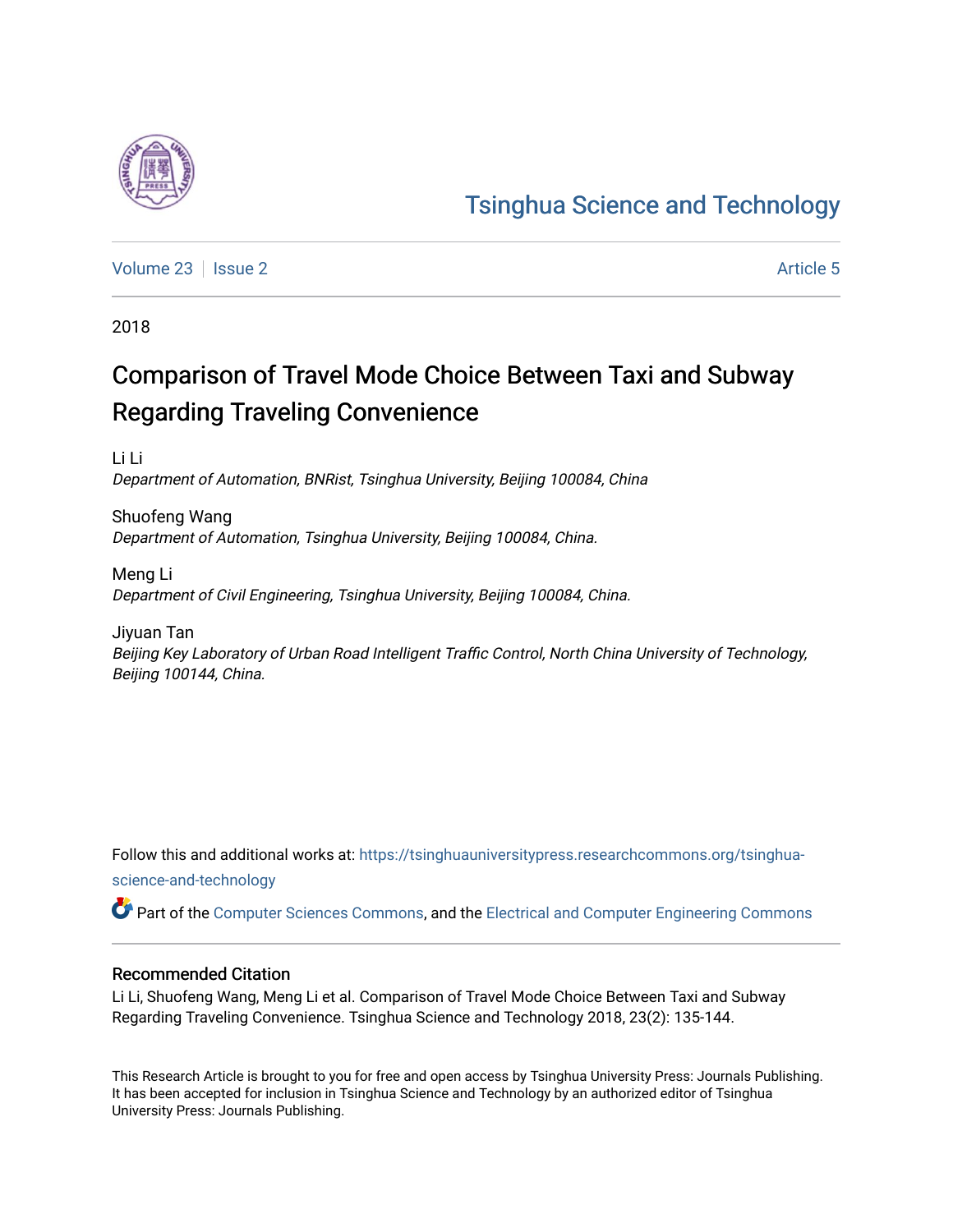

[Volume 23](https://tsinghuauniversitypress.researchcommons.org/tsinghua-science-and-technology/vol23) | [Issue 2](https://tsinghuauniversitypress.researchcommons.org/tsinghua-science-and-technology/vol23/iss2) Article 5

2018

# Comparison of Travel Mode Choice Between Taxi and Subway Regarding Traveling Convenience

Li Li Department of Automation, BNRist, Tsinghua University, Beijing 100084, China

Shuofeng Wang Department of Automation, Tsinghua University, Beijing 100084, China.

Meng Li Department of Civil Engineering, Tsinghua University, Beijing 100084, China.

Jiyuan Tan Beijing Key Laboratory of Urban Road Intelligent Traffic Control, North China University of Technology, Beijing 100144, China.

Follow this and additional works at: [https://tsinghuauniversitypress.researchcommons.org/tsinghua](https://tsinghuauniversitypress.researchcommons.org/tsinghua-science-and-technology?utm_source=tsinghuauniversitypress.researchcommons.org%2Ftsinghua-science-and-technology%2Fvol23%2Fiss2%2F5&utm_medium=PDF&utm_campaign=PDFCoverPages)[science-and-technology](https://tsinghuauniversitypress.researchcommons.org/tsinghua-science-and-technology?utm_source=tsinghuauniversitypress.researchcommons.org%2Ftsinghua-science-and-technology%2Fvol23%2Fiss2%2F5&utm_medium=PDF&utm_campaign=PDFCoverPages)

Part of the [Computer Sciences Commons](http://network.bepress.com/hgg/discipline/142?utm_source=tsinghuauniversitypress.researchcommons.org%2Ftsinghua-science-and-technology%2Fvol23%2Fiss2%2F5&utm_medium=PDF&utm_campaign=PDFCoverPages), and the [Electrical and Computer Engineering Commons](http://network.bepress.com/hgg/discipline/266?utm_source=tsinghuauniversitypress.researchcommons.org%2Ftsinghua-science-and-technology%2Fvol23%2Fiss2%2F5&utm_medium=PDF&utm_campaign=PDFCoverPages)

## Recommended Citation

Li Li, Shuofeng Wang, Meng Li et al. Comparison of Travel Mode Choice Between Taxi and Subway Regarding Traveling Convenience. Tsinghua Science and Technology 2018, 23(2): 135-144.

This Research Article is brought to you for free and open access by Tsinghua University Press: Journals Publishing. It has been accepted for inclusion in Tsinghua Science and Technology by an authorized editor of Tsinghua University Press: Journals Publishing.

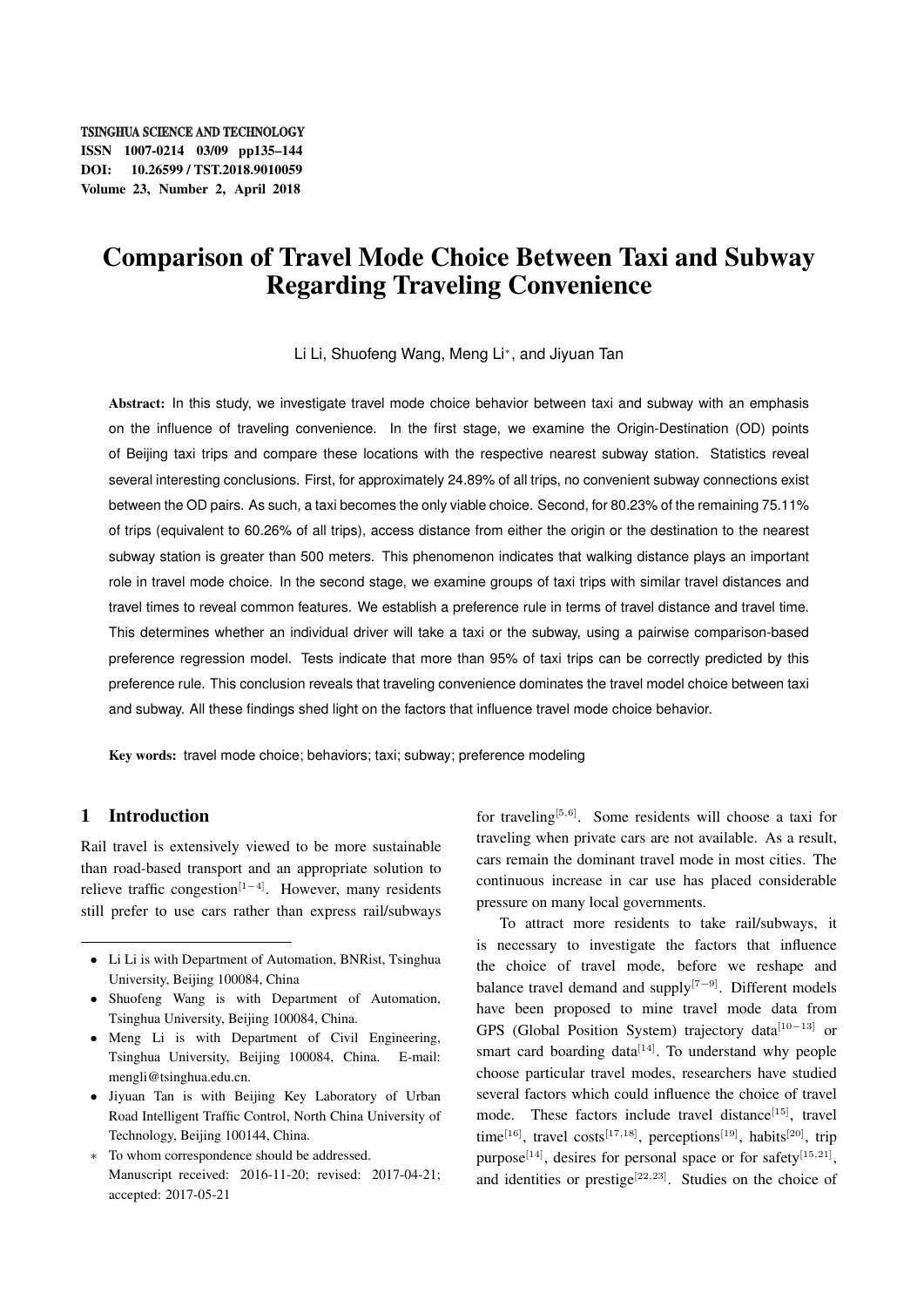**TSINGHUA SCIENCE AND TECHNOLOGY** ISSN 1007-0214 03/09 pp135–144 DOI: 10.26599 / TST.2018.9010059 Volume 23, Number 2, April 2018

## Comparison of Travel Mode Choice Between Taxi and Subway Regarding Traveling Convenience

Li Li, Shuofeng Wang, Meng Li*<sup>∗</sup>* , and Jiyuan Tan

Abstract: In this study, we investigate travel mode choice behavior between taxi and subway with an emphasis on the influence of traveling convenience. In the first stage, we examine the Origin-Destination (OD) points of Beijing taxi trips and compare these locations with the respective nearest subway station. Statistics reveal several interesting conclusions. First, for approximately 24.89% of all trips, no convenient subway connections exist between the OD pairs. As such, a taxi becomes the only viable choice. Second, for 80.23% of the remaining 75.11% of trips (equivalent to 60.26% of all trips), access distance from either the origin or the destination to the nearest subway station is greater than 500 meters. This phenomenon indicates that walking distance plays an important role in travel mode choice. In the second stage, we examine groups of taxi trips with similar travel distances and travel times to reveal common features. We establish a preference rule in terms of travel distance and travel time. This determines whether an individual driver will take a taxi or the subway, using a pairwise comparison-based preference regression model. Tests indicate that more than 95% of taxi trips can be correctly predicted by this preference rule. This conclusion reveals that traveling convenience dominates the travel model choice between taxi and subway. All these findings shed light on the factors that influence travel mode choice behavior.

Key words: travel mode choice; behaviors; taxi; subway; preference modeling

## 1 Introduction

Rail travel is extensively viewed to be more sustainable than road-based transport and an appropriate solution to relieve traffic congestion[1*−*4]. However, many residents still prefer to use cars rather than express rail/subways

- *•* Shuofeng Wang is with Department of Automation, Tsinghua University, Beijing 100084, China.
- *•* Meng Li is with Department of Civil Engineering, Tsinghua University, Beijing 100084, China. E-mail: mengli@tsinghua.edu.cn.
- *•* Jiyuan Tan is with Beijing Key Laboratory of Urban Road Intelligent Traffic Control, North China University of Technology, Beijing 100144, China.
- *∗* To whom correspondence should be addressed. Manuscript received: 2016-11-20; revised: 2017-04-21; accepted: 2017-05-21

for traveling[5*,*6]. Some residents will choose a taxi for traveling when private cars are not available. As a result, cars remain the dominant travel mode in most cities. The continuous increase in car use has placed considerable pressure on many local governments.

To attract more residents to take rail/subways, it is necessary to investigate the factors that influence the choice of travel mode, before we reshape and balance travel demand and supply[7*−*9]. Different models have been proposed to mine travel mode data from GPS (Global Position System) trajectory data[10*−*13] or smart card boarding data $[14]$ . To understand why people choose particular travel modes, researchers have studied several factors which could influence the choice of travel mode. These factors include travel distance $[15]$ , travel time<sup>[16]</sup>, travel costs<sup>[17,18]</sup>, perceptions<sup>[19]</sup>, habits<sup>[20]</sup>, trip purpose<sup>[14]</sup>, desires for personal space or for safety<sup>[15,21]</sup>, and identities or prestige<sup>[22,23]</sup>. Studies on the choice of

*<sup>•</sup>* Li Li is with Department of Automation, BNRist, Tsinghua University, Beijing 100084, China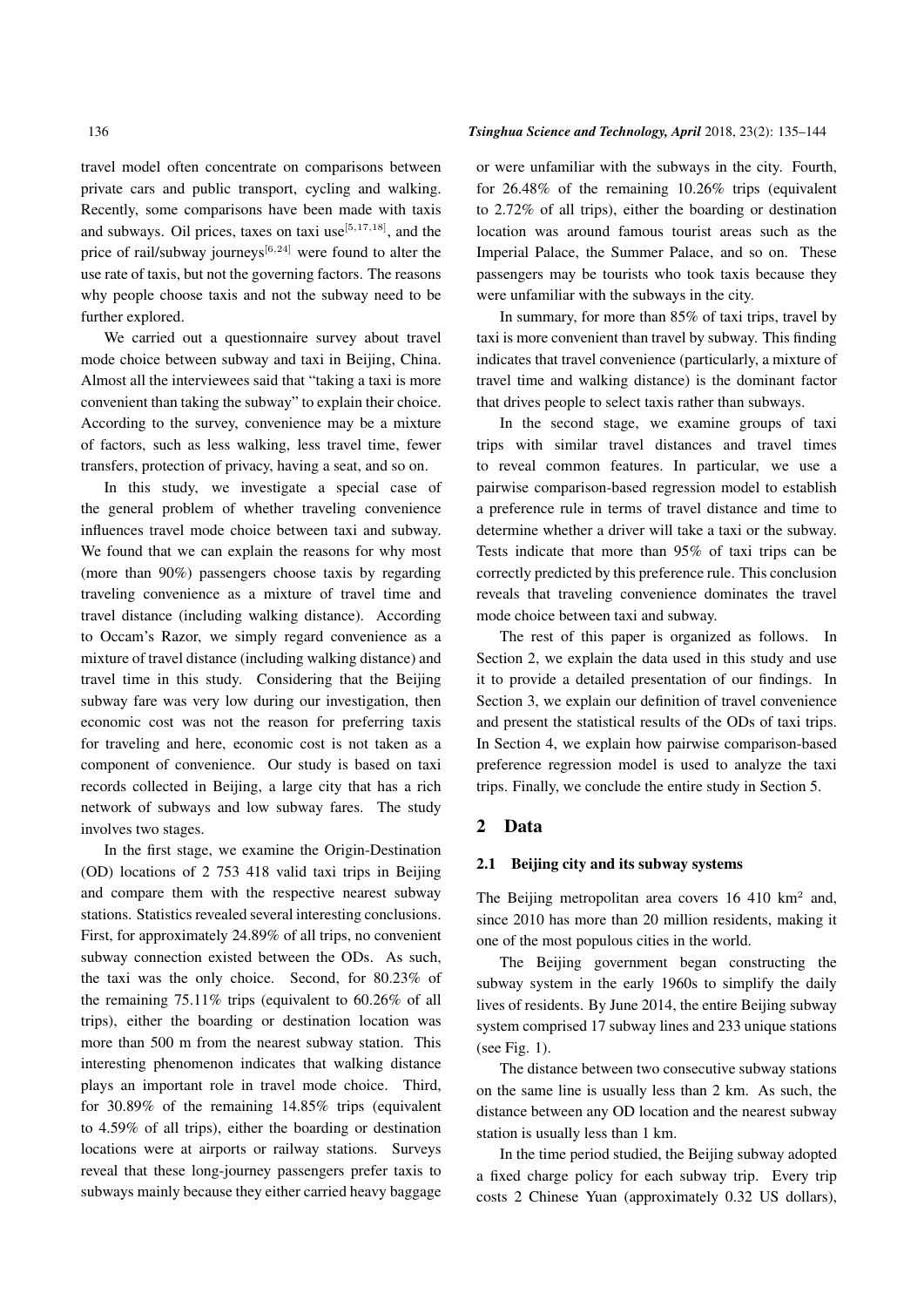travel model often concentrate on comparisons between private cars and public transport, cycling and walking. Recently, some comparisons have been made with taxis and subways. Oil prices, taxes on taxi use[5*,*17*,*18], and the price of rail/subway journeys[6*,*24] were found to alter the use rate of taxis, but not the governing factors. The reasons why people choose taxis and not the subway need to be further explored.

We carried out a questionnaire survey about travel mode choice between subway and taxi in Beijing, China. Almost all the interviewees said that "taking a taxi is more convenient than taking the subway" to explain their choice. According to the survey, convenience may be a mixture of factors, such as less walking, less travel time, fewer transfers, protection of privacy, having a seat, and so on.

In this study, we investigate a special case of the general problem of whether traveling convenience influences travel mode choice between taxi and subway. We found that we can explain the reasons for why most (more than 90%) passengers choose taxis by regarding traveling convenience as a mixture of travel time and travel distance (including walking distance). According to Occam's Razor, we simply regard convenience as a mixture of travel distance (including walking distance) and travel time in this study. Considering that the Beijing subway fare was very low during our investigation, then economic cost was not the reason for preferring taxis for traveling and here, economic cost is not taken as a component of convenience. Our study is based on taxi records collected in Beijing, a large city that has a rich network of subways and low subway fares. The study involves two stages.

In the first stage, we examine the Origin-Destination (OD) locations of 2 753 418 valid taxi trips in Beijing and compare them with the respective nearest subway stations. Statistics revealed several interesting conclusions. First, for approximately 24.89% of all trips, no convenient subway connection existed between the ODs. As such, the taxi was the only choice. Second, for 80.23% of the remaining 75.11% trips (equivalent to 60.26% of all trips), either the boarding or destination location was more than 500 m from the nearest subway station. This interesting phenomenon indicates that walking distance plays an important role in travel mode choice. Third, for 30.89% of the remaining 14.85% trips (equivalent to 4.59% of all trips), either the boarding or destination locations were at airports or railway stations. Surveys reveal that these long-journey passengers prefer taxis to subways mainly because they either carried heavy baggage

#### 136 *Tsinghua Science and Technology, April* 2018, 23(2): 135–144

or were unfamiliar with the subways in the city. Fourth, for 26.48% of the remaining 10.26% trips (equivalent to 2.72% of all trips), either the boarding or destination location was around famous tourist areas such as the Imperial Palace, the Summer Palace, and so on. These passengers may be tourists who took taxis because they were unfamiliar with the subways in the city.

In summary, for more than 85% of taxi trips, travel by taxi is more convenient than travel by subway. This finding indicates that travel convenience (particularly, a mixture of travel time and walking distance) is the dominant factor that drives people to select taxis rather than subways.

In the second stage, we examine groups of taxi trips with similar travel distances and travel times to reveal common features. In particular, we use a pairwise comparison-based regression model to establish a preference rule in terms of travel distance and time to determine whether a driver will take a taxi or the subway. Tests indicate that more than 95% of taxi trips can be correctly predicted by this preference rule. This conclusion reveals that traveling convenience dominates the travel mode choice between taxi and subway.

The rest of this paper is organized as follows. In Section 2, we explain the data used in this study and use it to provide a detailed presentation of our findings. In Section 3, we explain our definition of travel convenience and present the statistical results of the ODs of taxi trips. In Section 4, we explain how pairwise comparison-based preference regression model is used to analyze the taxi trips. Finally, we conclude the entire study in Section 5.

## 2 Data

#### 2.1 Beijing city and its subway systems

The Beijing metropolitan area covers  $16\;410\;{\rm km^2}$  and, since 2010 has more than 20 million residents, making it one of the most populous cities in the world.

The Beijing government began constructing the subway system in the early 1960s to simplify the daily lives of residents. By June 2014, the entire Beijing subway system comprised 17 subway lines and 233 unique stations (see Fig. 1).

The distance between two consecutive subway stations on the same line is usually less than 2 km. As such, the distance between any OD location and the nearest subway station is usually less than 1 km.

In the time period studied, the Beijing subway adopted a fixed charge policy for each subway trip. Every trip costs 2 Chinese Yuan (approximately 0.32 US dollars),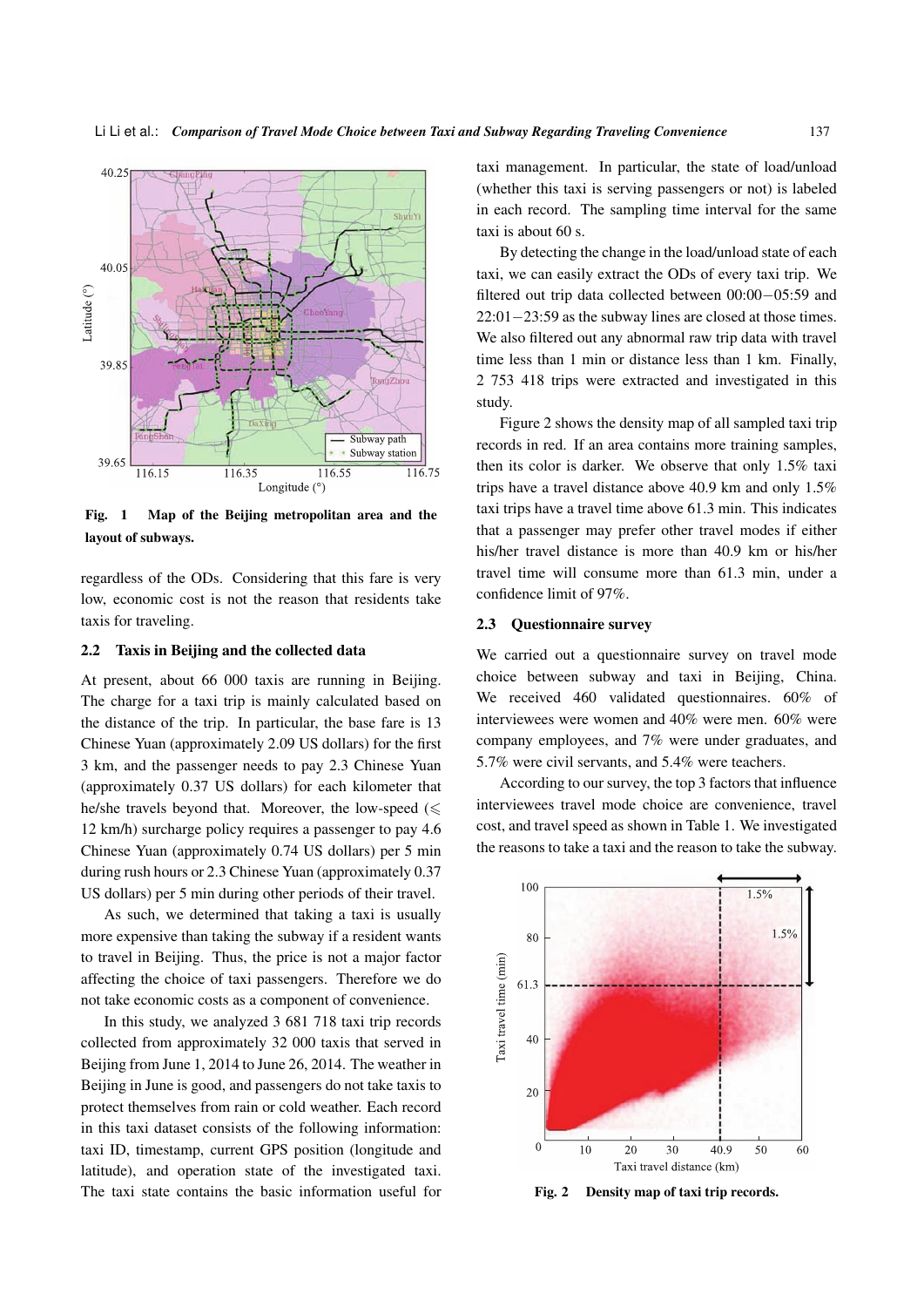

Fig. 1 Map of the Beijing metropolitan area and the layout of subways.

regardless of the ODs. Considering that this fare is very low, economic cost is not the reason that residents take taxis for traveling.

#### 2.2 Taxis in Beijing and the collected data

At present, about 66 000 taxis are running in Beijing. The charge for a taxi trip is mainly calculated based on the distance of the trip. In particular, the base fare is 13 Chinese Yuan (approximately 2.09 US dollars) for the first 3 km, and the passenger needs to pay 2.3 Chinese Yuan (approximately 0.37 US dollars) for each kilometer that he/she travels beyond that. Moreover, the low-speed  $(\leq$ 12 km/h) surcharge policy requires a passenger to pay 4.6 Chinese Yuan (approximately 0.74 US dollars) per 5 min during rush hours or 2.3 Chinese Yuan (approximately 0.37 US dollars) per 5 min during other periods of their travel.

As such, we determined that taking a taxi is usually more expensive than taking the subway if a resident wants to travel in Beijing. Thus, the price is not a major factor affecting the choice of taxi passengers. Therefore we do not take economic costs as a component of convenience.

In this study, we analyzed 3 681 718 taxi trip records collected from approximately 32 000 taxis that served in Beijing from June 1, 2014 to June 26, 2014. The weather in Beijing in June is good, and passengers do not take taxis to protect themselves from rain or cold weather. Each record in this taxi dataset consists of the following information: taxi ID, timestamp, current GPS position (longitude and latitude), and operation state of the investigated taxi. The taxi state contains the basic information useful for taxi management. In particular, the state of load/unload (whether this taxi is serving passengers or not) is labeled in each record. The sampling time interval for the same taxi is about 60 s.

By detecting the change in the load/unload state of each taxi, we can easily extract the ODs of every taxi trip. We filtered out trip data collected between 00:00*−*05:59 and 22:01*−*23:59 as the subway lines are closed at those times. We also filtered out any abnormal raw trip data with travel time less than 1 min or distance less than 1 km. Finally, 2 753 418 trips were extracted and investigated in this study.

Figure 2 shows the density map of all sampled taxi trip records in red. If an area contains more training samples, then its color is darker. We observe that only 1.5% taxi trips have a travel distance above 40.9 km and only 1.5% taxi trips have a travel time above 61.3 min. This indicates that a passenger may prefer other travel modes if either his/her travel distance is more than 40.9 km or his/her travel time will consume more than 61.3 min, under a confidence limit of 97%.

#### 2.3 Questionnaire survey

We carried out a questionnaire survey on travel mode choice between subway and taxi in Beijing, China. We received 460 validated questionnaires. 60% of interviewees were women and 40% were men. 60% were company employees, and 7% were under graduates, and 5.7% were civil servants, and 5.4% were teachers.

According to our survey, the top 3 factors that influence interviewees travel mode choice are convenience, travel cost, and travel speed as shown in Table 1. We investigated the reasons to take a taxi and the reason to take the subway.



Fig. 2 Density map of taxi trip records.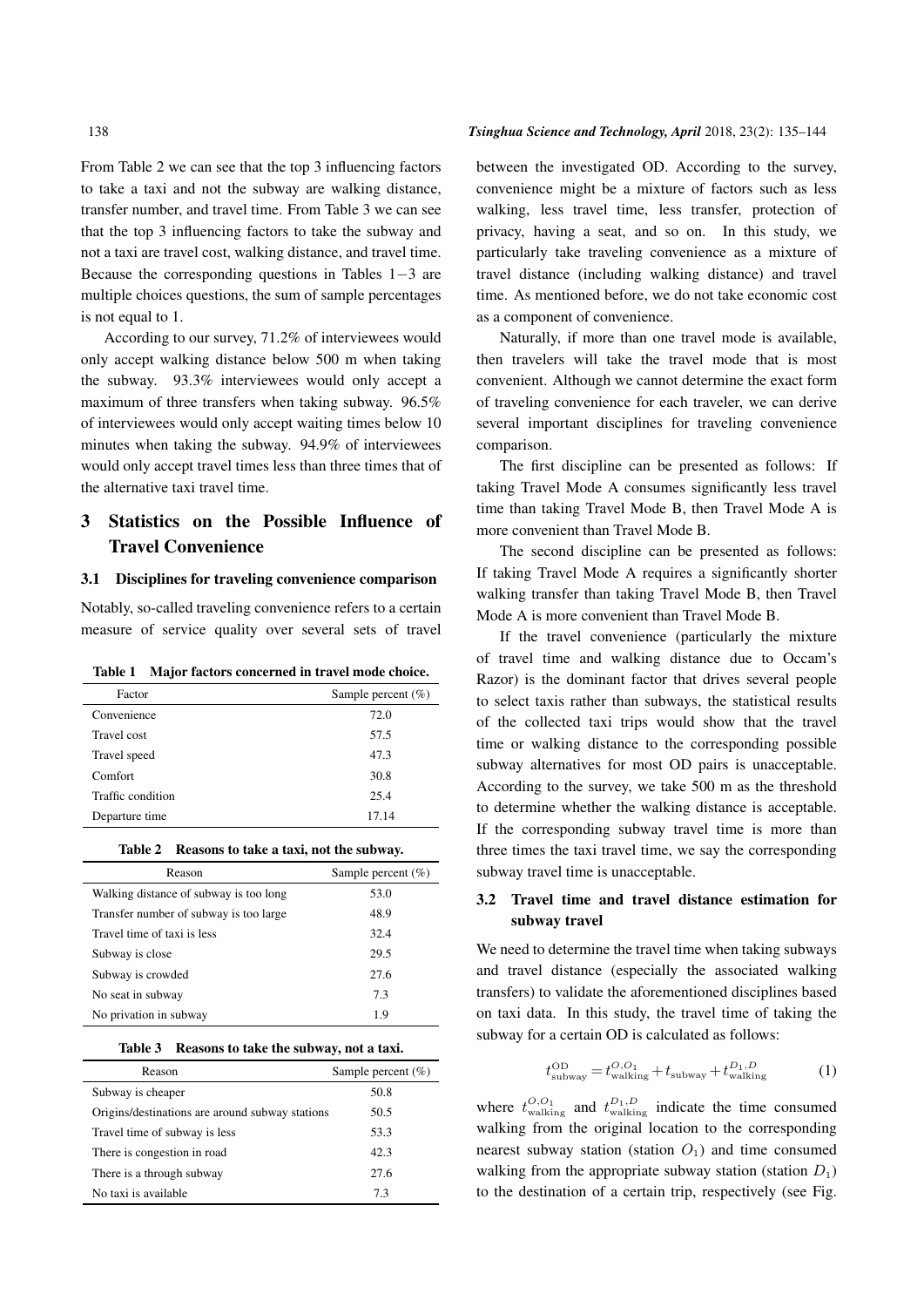From Table 2 we can see that the top 3 influencing factors to take a taxi and not the subway are walking distance, transfer number, and travel time. From Table 3 we can see that the top 3 influencing factors to take the subway and not a taxi are travel cost, walking distance, and travel time. Because the corresponding questions in Tables 1*−*3 are multiple choices questions, the sum of sample percentages is not equal to 1.

According to our survey, 71.2% of interviewees would only accept walking distance below 500 m when taking the subway. 93.3% interviewees would only accept a maximum of three transfers when taking subway. 96.5% of interviewees would only accept waiting times below 10 minutes when taking the subway. 94.9% of interviewees would only accept travel times less than three times that of the alternative taxi travel time.

## 3 Statistics on the Possible Influence of Travel Convenience

#### 3.1 Disciplines for traveling convenience comparison

Notably, so-called traveling convenience refers to a certain measure of service quality over several sets of travel

| Table 1 |  |  | Major factors concerned in travel mode choice. |  |  |  |  |
|---------|--|--|------------------------------------------------|--|--|--|--|
|---------|--|--|------------------------------------------------|--|--|--|--|

| Factor            | Sample percent $(\% )$ |
|-------------------|------------------------|
| Convenience       | 72.0                   |
| Travel cost       | 57.5                   |
| Travel speed      | 47.3                   |
| Comfort           | 30.8                   |
| Traffic condition | 25.4                   |
| Departure time    | 17.14                  |

#### Table 2 Reasons to take a taxi, not the subway.

| Reason                                  | Sample percent $(\% )$ |  |  |  |  |
|-----------------------------------------|------------------------|--|--|--|--|
| Walking distance of subway is too long  | 53.0                   |  |  |  |  |
| Transfer number of subway is too large. | 48.9                   |  |  |  |  |
| Travel time of taxi is less             | 32.4                   |  |  |  |  |
| Subway is close                         | 29.5                   |  |  |  |  |
| Subway is crowded                       | 27.6                   |  |  |  |  |
| No seat in subway                       | 7.3                    |  |  |  |  |
| No privation in subway                  | 19                     |  |  |  |  |

|  | Table 3 Reasons to take the subway, not a taxi. |  |  |  |  |  |  |  |
|--|-------------------------------------------------|--|--|--|--|--|--|--|
|--|-------------------------------------------------|--|--|--|--|--|--|--|

| Reason                                          | Sample percent $(\% )$ |
|-------------------------------------------------|------------------------|
| Subway is cheaper                               | 50.8                   |
| Origins/destinations are around subway stations | 50.5                   |
| Travel time of subway is less                   | 53.3                   |
| There is congestion in road                     | 42.3                   |
| There is a through subway                       | 27.6                   |
| No taxi is available                            | 7.3                    |

#### 138 *Tsinghua Science and Technology, April* 2018, 23(2): 135–144

between the investigated OD. According to the survey, convenience might be a mixture of factors such as less walking, less travel time, less transfer, protection of privacy, having a seat, and so on. In this study, we particularly take traveling convenience as a mixture of travel distance (including walking distance) and travel time. As mentioned before, we do not take economic cost as a component of convenience.

Naturally, if more than one travel mode is available, then travelers will take the travel mode that is most convenient. Although we cannot determine the exact form of traveling convenience for each traveler, we can derive several important disciplines for traveling convenience comparison.

The first discipline can be presented as follows: If taking Travel Mode A consumes significantly less travel time than taking Travel Mode B, then Travel Mode A is more convenient than Travel Mode B.

The second discipline can be presented as follows: If taking Travel Mode A requires a significantly shorter walking transfer than taking Travel Mode B, then Travel Mode A is more convenient than Travel Mode B.

If the travel convenience (particularly the mixture of travel time and walking distance due to Occam's Razor) is the dominant factor that drives several people to select taxis rather than subways, the statistical results of the collected taxi trips would show that the travel time or walking distance to the corresponding possible subway alternatives for most OD pairs is unacceptable. According to the survey, we take 500 m as the threshold to determine whether the walking distance is acceptable. If the corresponding subway travel time is more than three times the taxi travel time, we say the corresponding subway travel time is unacceptable.

## 3.2 Travel time and travel distance estimation for subway travel

We need to determine the travel time when taking subways and travel distance (especially the associated walking transfers) to validate the aforementioned disciplines based on taxi data. In this study, the travel time of taking the subway for a certain OD is calculated as follows:

$$
t_{\text{subway}}^{\text{OD}} = t_{\text{walking}}^{\text{O,O}_1} + t_{\text{subway}} + t_{\text{walking}}^{\text{D}_1, \text{D}} \tag{1}
$$

where  $t_{\text{walking}}^{O,O_1}$  and  $t_{\text{walking}}^{D_1,D}$  indicate the time consumed walking from the original location to the corresponding nearest subway station (station  $O_1$ ) and time consumed walking from the appropriate subway station (station  $D_1$ ) to the destination of a certain trip, respectively (see Fig.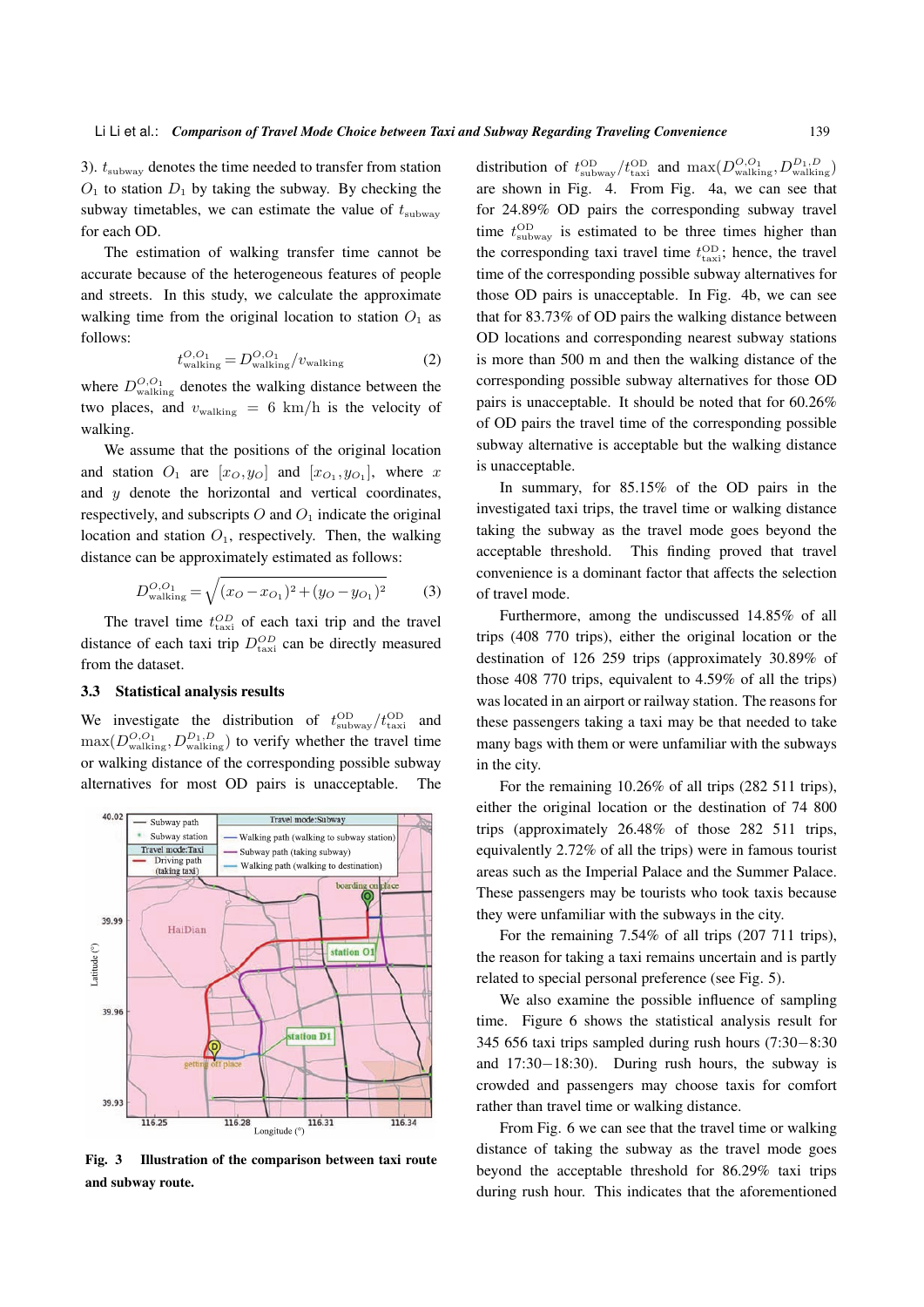3). *t*subway denotes the time needed to transfer from station  $O_1$  to station  $D_1$  by taking the subway. By checking the subway timetables, we can estimate the value of  $t_{\text{subway}}$ for each OD.

The estimation of walking transfer time cannot be accurate because of the heterogeneous features of people and streets. In this study, we calculate the approximate walking time from the original location to station  $O_1$  as follows:

$$
t_{\text{walking}}^{O,O_1} = D_{\text{walking}}^{O,O_1} / v_{\text{walking}}
$$
 (2)

where  $D_{\text{walking}}^{O,O_1}$  denotes the walking distance between the two places, and  $v_{\text{walking}} = 6 \text{ km/h}$  is the velocity of walking.

We assume that the positions of the original location and station  $O_1$  are  $[x_O, y_O]$  and  $[x_{O_1}, y_{O_1}]$ , where *x* and *y* denote the horizontal and vertical coordinates, respectively, and subscripts  $O$  and  $O_1$  indicate the original location and station  $O_1$ , respectively. Then, the walking distance can be approximately estimated as follows:

$$
D_{\text{walking}}^{O,O_1} = \sqrt{(x_O - x_{O_1})^2 + (y_O - y_{O_1})^2}
$$
 (3)

The travel time  $t_{\text{taxi}}^{OD}$  of each taxi trip and the travel distance of each taxi trip  $D_{\text{taxi}}^{OD}$  can be directly measured from the dataset.

#### 3.3 Statistical analysis results

We investigate the distribution of  $t_{\text{subway}}^{\text{OD}}/t_{\text{tax}}^{\text{OD}}$ and  $\max(D_{\text{walking}}^{O,O_1}, D_{\text{walking}}^{D_1, D})$  to verify whether the travel time or walking distance of the corresponding possible subway alternatives for most OD pairs is unacceptable. The



Fig. 3 Illustration of the comparison between taxi route and subway route.

distribution of  $t_{\text{subway}}^{\text{OD}}/t_{\text{taxi}}^{\text{OD}}$  and  $\max(D_{\text{walking}}^{\text{O},\text{O}_1}, D_{\text{walking}}^{\text{D}_1,\text{D}})$ are shown in Fig. 4. From Fig. 4a, we can see that for 24.89% OD pairs the corresponding subway travel time  $t_{\text{subway}}^{\text{OD}}$  is estimated to be three times higher than the corresponding taxi travel time  $t_{\text{taxi}}^{\text{OD}}$ ; hence, the travel time of the corresponding possible subway alternatives for those OD pairs is unacceptable. In Fig. 4b, we can see that for 83.73% of OD pairs the walking distance between OD locations and corresponding nearest subway stations is more than 500 m and then the walking distance of the corresponding possible subway alternatives for those OD pairs is unacceptable. It should be noted that for 60.26% of OD pairs the travel time of the corresponding possible subway alternative is acceptable but the walking distance is unacceptable.

In summary, for 85.15% of the OD pairs in the investigated taxi trips, the travel time or walking distance taking the subway as the travel mode goes beyond the acceptable threshold. This finding proved that travel convenience is a dominant factor that affects the selection of travel mode.

Furthermore, among the undiscussed 14.85% of all trips (408 770 trips), either the original location or the destination of 126 259 trips (approximately 30.89% of those 408 770 trips, equivalent to 4.59% of all the trips) was located in an airport or railway station. The reasons for these passengers taking a taxi may be that needed to take many bags with them or were unfamiliar with the subways in the city.

For the remaining 10.26% of all trips (282 511 trips), either the original location or the destination of 74 800 trips (approximately 26.48% of those 282 511 trips, equivalently 2.72% of all the trips) were in famous tourist areas such as the Imperial Palace and the Summer Palace. These passengers may be tourists who took taxis because they were unfamiliar with the subways in the city.

For the remaining 7.54% of all trips (207 711 trips), the reason for taking a taxi remains uncertain and is partly related to special personal preference (see Fig. 5).

We also examine the possible influence of sampling time. Figure 6 shows the statistical analysis result for 345 656 taxi trips sampled during rush hours (7:30*−*8:30 and 17:30*−*18:30). During rush hours, the subway is crowded and passengers may choose taxis for comfort rather than travel time or walking distance.

From Fig. 6 we can see that the travel time or walking distance of taking the subway as the travel mode goes beyond the acceptable threshold for 86.29% taxi trips during rush hour. This indicates that the aforementioned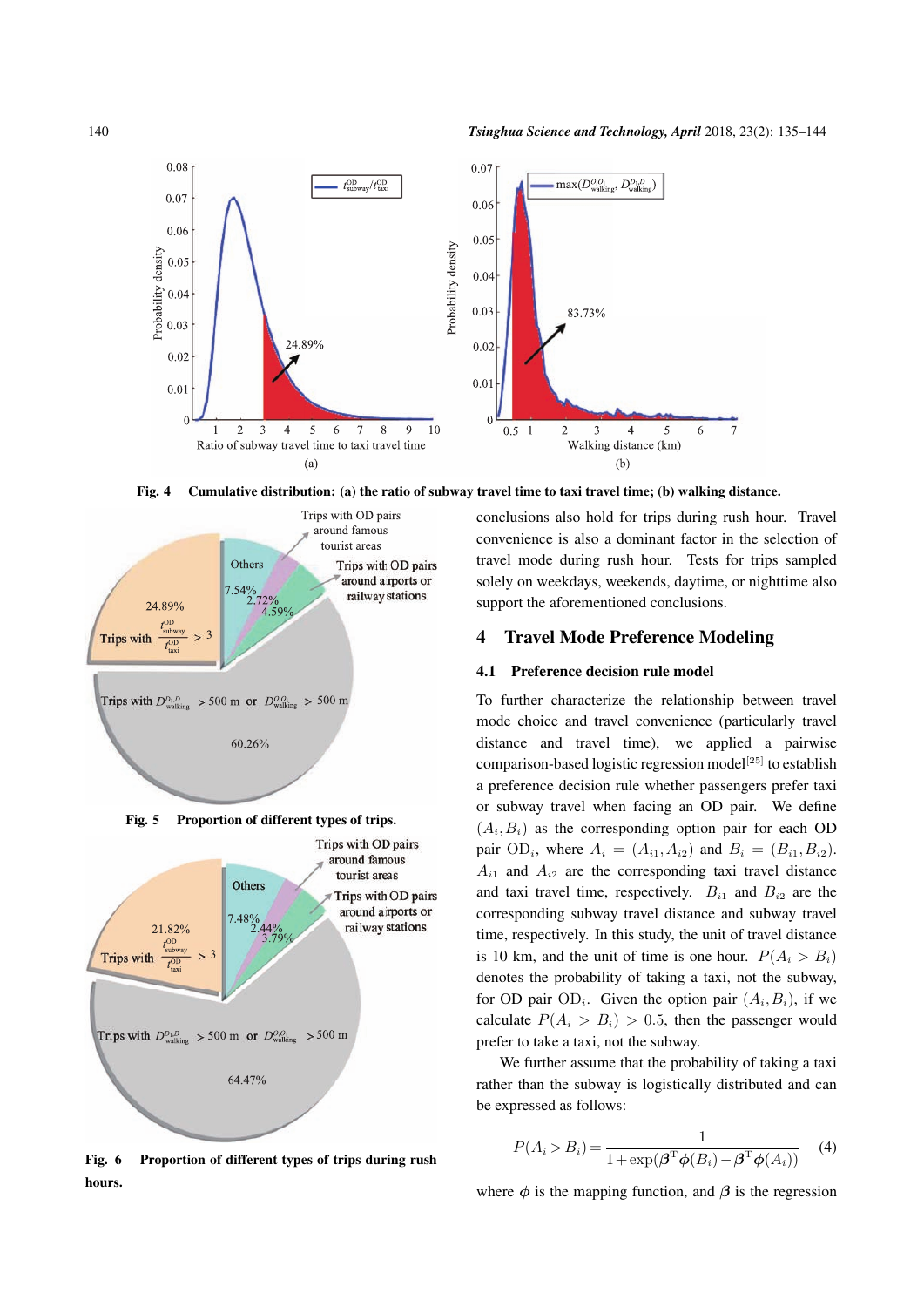

Fig. 4 Cumulative distribution: (a) the ratio of subway travel time to taxi travel time; (b) walking distance.



Fig. 5 Proportion of different types of trips.



Fig. 6 Proportion of different types of trips during rush hours.

conclusions also hold for trips during rush hour. Travel convenience is also a dominant factor in the selection of travel mode during rush hour. Tests for trips sampled solely on weekdays, weekends, daytime, or nighttime also support the aforementioned conclusions.

## 4 Travel Mode Preference Modeling

#### 4.1 Preference decision rule model

To further characterize the relationship between travel mode choice and travel convenience (particularly travel distance and travel time), we applied a pairwise comparison-based logistic regression model<sup>[25]</sup> to establish a preference decision rule whether passengers prefer taxi or subway travel when facing an OD pair. We define  $(A_i, B_i)$  as the corresponding option pair for each OD  $pair OD_i$ , where  $A_i = (A_{i1}, A_{i2})$  and  $B_i = (B_{i1}, B_{i2})$ .  $A_{i1}$  and  $A_{i2}$  are the corresponding taxi travel distance and taxi travel time, respectively.  $B_{i1}$  and  $B_{i2}$  are the corresponding subway travel distance and subway travel time, respectively. In this study, the unit of travel distance is 10 km, and the unit of time is one hour.  $P(A_i > B_i)$ denotes the probability of taking a taxi, not the subway, for OD pair  $OD_i$ . Given the option pair  $(A_i, B_i)$ , if we calculate  $P(A_i > B_i) > 0.5$ , then the passenger would prefer to take a taxi, not the subway.

We further assume that the probability of taking a taxi rather than the subway is logistically distributed and can be expressed as follows:

$$
P(A_i > B_i) = \frac{1}{1 + \exp(\beta^{\mathrm{T}} \phi(B_i) - \beta^{\mathrm{T}} \phi(A_i))}
$$
 (4)

where  $\phi$  is the mapping function, and  $\beta$  is the regression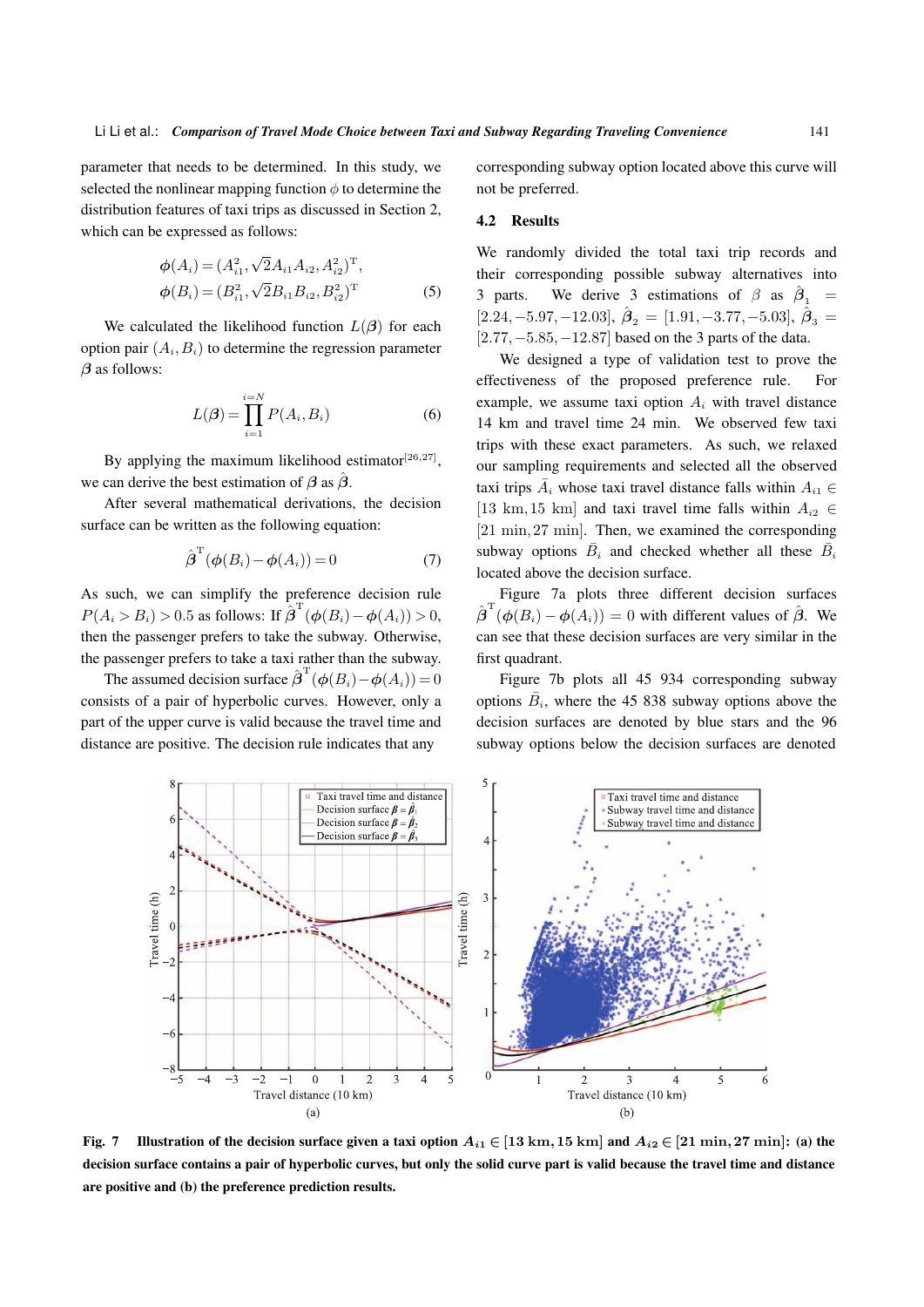parameter that needs to be determined. In this study, we selected the nonlinear mapping function  $\phi$  to determine the distribution features of taxi trips as discussed in Section 2, which can be expressed as follows:

$$
\phi(A_i) = (A_{i1}^2, \sqrt{2}A_{i1}A_{i2}, A_{i2}^2)^{\mathrm{T}},
$$
  
\n
$$
\phi(B_i) = (B_{i1}^2, \sqrt{2}B_{i1}B_{i2}, B_{i2}^2)^{\mathrm{T}}
$$
\n(5)

We calculated the likelihood function  $L(\beta)$  for each option pair  $(A_i, B_i)$  to determine the regression parameter *β* as follows:

$$
L(\boldsymbol{\beta}) = \prod_{i=1}^{i=N} P(A_i, B_i)
$$
 (6)

By applying the maximum likelihood estimator<sup>[26,27]</sup>, we can derive the best estimation of  $\beta$  as  $\hat{\beta}$ .

After several mathematical derivations, the decision surface can be written as the following equation:

$$
\hat{\boldsymbol{\beta}}^{\mathrm{T}}(\boldsymbol{\phi}(B_i) - \boldsymbol{\phi}(A_i)) = 0 \tag{7}
$$

As such, we can simplify the preference decision rule  $P(A_i > B_i) > 0.5$  as follows: If  $\hat{\beta}^{\text{T}}(\phi(B_i) - \phi(A_i)) > 0$ , then the passenger prefers to take the subway. Otherwise, the passenger prefers to take a taxi rather than the subway.

The assumed decision surface  $\hat{\boldsymbol{\beta}}^{\mathrm{T}}(\boldsymbol{\phi}(B_i) - \boldsymbol{\phi}(A_i)) = 0$ consists of a pair of hyperbolic curves. However, only a part of the upper curve is valid because the travel time and distance are positive. The decision rule indicates that any

corresponding subway option located above this curve will not be preferred.

#### 4.2 Results

We randomly divided the total taxi trip records and their corresponding possible subway alternatives into 3 parts. We derive 3 estimations of  $\beta$  as  $\hat{\beta}_1$  =  $[2.24, -5.97, -12.03], \hat{\boldsymbol{\beta}}_2 = [1.91, -3.77, -5.03], \hat{\boldsymbol{\beta}}_3 =$ [2*.*77*,−*5*.*85*,−*12*.*87] based on the 3 parts of the data.

We designed a type of validation test to prove the effectiveness of the proposed preference rule. For example, we assume taxi option  $A_i$  with travel distance 14 km and travel time 24 min. We observed few taxi trips with these exact parameters. As such, we relaxed our sampling requirements and selected all the observed taxi trips  $\bar{A}_i$  whose taxi travel distance falls within  $A_{i1}$   $\in$ [13 km, 15 km] and taxi travel time falls within  $A_{i2} \in$ [21 min*,*27 min]. Then, we examined the corresponding subway options  $\overline{B}_i$  and checked whether all these  $\overline{B}_i$ located above the decision surface.

Figure 7a plots three different decision surfaces  $\hat{\boldsymbol{\beta}}^{\mathrm{T}}(\boldsymbol{\phi}(B_i) - \boldsymbol{\phi}(A_i)) = 0$  with different values of  $\hat{\boldsymbol{\beta}}$ . We can see that these decision surfaces are very similar in the first quadrant.

Figure 7b plots all 45 934 corresponding subway options  $\overline{B}_i$ , where the 45 838 subway options above the decision surfaces are denoted by blue stars and the 96 subway options below the decision surfaces are denoted



Fig. 7 Illustration of the decision surface given a taxi option  $A_{i1} \in [13 \text{ km}, 15 \text{ km}]$  and  $A_{i2} \in [21 \text{ min}, 27 \text{ min}]$ : (a) the decision surface contains a pair of hyperbolic curves, but only the solid curve part is valid because the travel time and distance are positive and (b) the preference prediction results.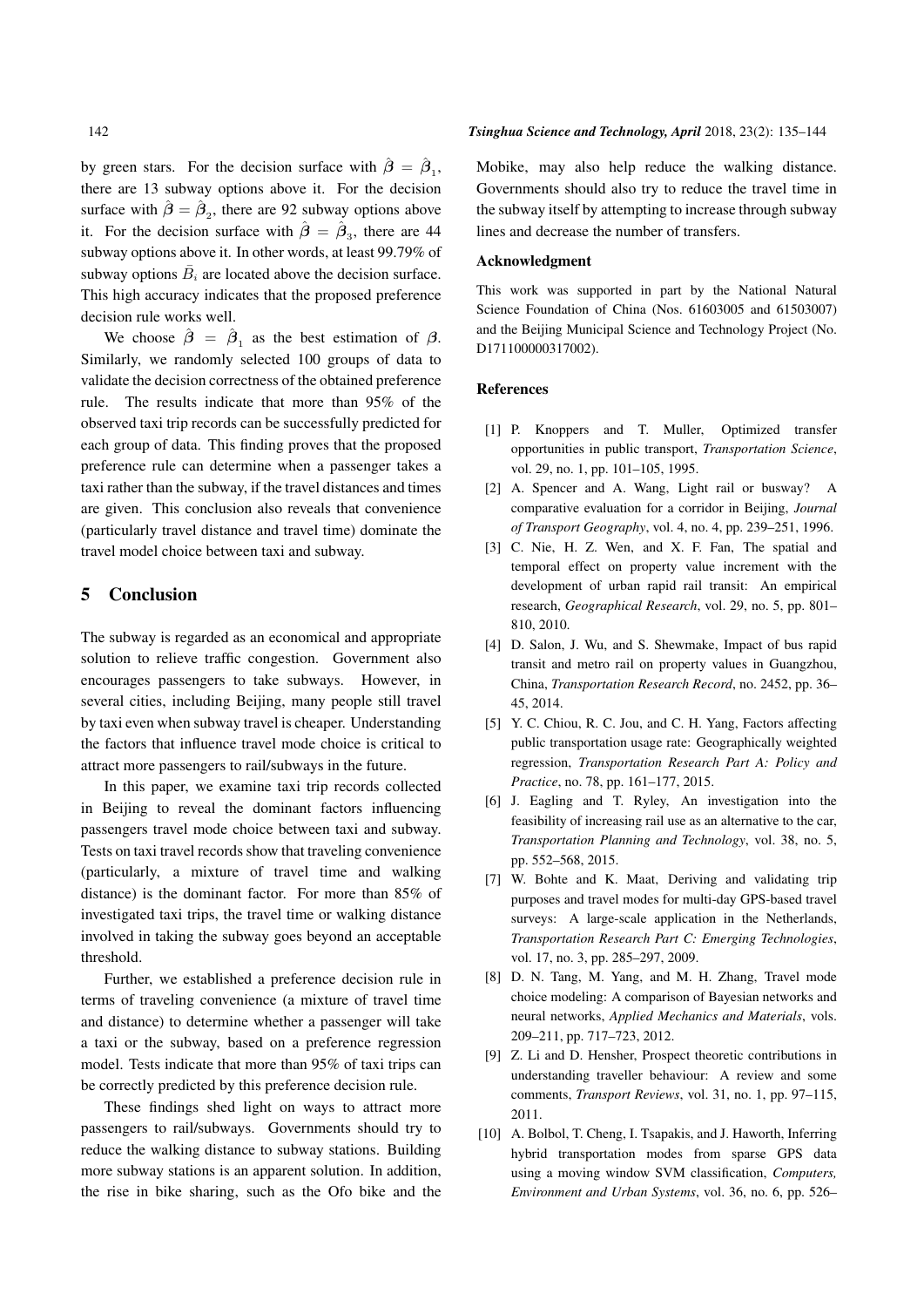by green stars. For the decision surface with  $\hat{\beta} = \hat{\beta}_1$ , there are 13 subway options above it. For the decision surface with  $\hat{\beta} = \hat{\beta}_2$ , there are 92 subway options above it. For the decision surface with  $\hat{\beta} = \hat{\beta}_3$ , there are 44 subway options above it. In other words, at least 99.79% of subway options  $\overline{B}_i$  are located above the decision surface. This high accuracy indicates that the proposed preference decision rule works well.

We choose  $\hat{\beta} = \hat{\beta}_1$  as the best estimation of  $\beta$ . Similarly, we randomly selected 100 groups of data to validate the decision correctness of the obtained preference rule. The results indicate that more than 95% of the observed taxi trip records can be successfully predicted for each group of data. This finding proves that the proposed preference rule can determine when a passenger takes a taxi rather than the subway, if the travel distances and times are given. This conclusion also reveals that convenience (particularly travel distance and travel time) dominate the travel model choice between taxi and subway.

## 5 Conclusion

The subway is regarded as an economical and appropriate solution to relieve traffic congestion. Government also encourages passengers to take subways. However, in several cities, including Beijing, many people still travel by taxi even when subway travel is cheaper. Understanding the factors that influence travel mode choice is critical to attract more passengers to rail/subways in the future.

In this paper, we examine taxi trip records collected in Beijing to reveal the dominant factors influencing passengers travel mode choice between taxi and subway. Tests on taxi travel records show that traveling convenience (particularly, a mixture of travel time and walking distance) is the dominant factor. For more than 85% of investigated taxi trips, the travel time or walking distance involved in taking the subway goes beyond an acceptable threshold.

Further, we established a preference decision rule in terms of traveling convenience (a mixture of travel time and distance) to determine whether a passenger will take a taxi or the subway, based on a preference regression model. Tests indicate that more than 95% of taxi trips can be correctly predicted by this preference decision rule.

These findings shed light on ways to attract more passengers to rail/subways. Governments should try to reduce the walking distance to subway stations. Building more subway stations is an apparent solution. In addition, the rise in bike sharing, such as the Ofo bike and the

#### 142 *Tsinghua Science and Technology, April* 2018, 23(2): 135–144

Mobike, may also help reduce the walking distance. Governments should also try to reduce the travel time in the subway itself by attempting to increase through subway lines and decrease the number of transfers.

#### Acknowledgment

This work was supported in part by the National Natural Science Foundation of China (Nos. 61603005 and 61503007) and the Beijing Municipal Science and Technology Project (No. D171100000317002).

#### References

- [1] P. Knoppers and T. Muller, Optimized transfer opportunities in public transport, *Transportation Science*, vol. 29, no. 1, pp. 101–105, 1995.
- [2] A. Spencer and A. Wang, Light rail or busway? comparative evaluation for a corridor in Beijing, *Journal of Transport Geography*, vol. 4, no. 4, pp. 239–251, 1996.
- [3] C. Nie, H. Z. Wen, and X. F. Fan, The spatial and temporal effect on property value increment with the development of urban rapid rail transit: An empirical research, *Geographical Research*, vol. 29, no. 5, pp. 801– 810, 2010.
- [4] D. Salon, J. Wu, and S. Shewmake, Impact of bus rapid transit and metro rail on property values in Guangzhou, China, *Transportation Research Record*, no. 2452, pp. 36– 45, 2014.
- [5] Y. C. Chiou, R. C. Jou, and C. H. Yang, Factors affecting public transportation usage rate: Geographically weighted regression, *Transportation Research Part A: Policy and Practice*, no. 78, pp. 161–177, 2015.
- [6] J. Eagling and T. Ryley, An investigation into the feasibility of increasing rail use as an alternative to the car, *Transportation Planning and Technology*, vol. 38, no. 5, pp. 552–568, 2015.
- [7] W. Bohte and K. Maat, Deriving and validating trip purposes and travel modes for multi-day GPS-based travel surveys: A large-scale application in the Netherlands, *Transportation Research Part C: Emerging Technologies*, vol. 17, no. 3, pp. 285–297, 2009.
- [8] D. N. Tang, M. Yang, and M. H. Zhang, Travel mode choice modeling: A comparison of Bayesian networks and neural networks, *Applied Mechanics and Materials*, vols. 209–211, pp. 717–723, 2012.
- [9] Z. Li and D. Hensher, Prospect theoretic contributions in understanding traveller behaviour: A review and some comments, *Transport Reviews*, vol. 31, no. 1, pp. 97–115, 2011.
- [10] A. Bolbol, T. Cheng, I. Tsapakis, and J. Haworth, Inferring hybrid transportation modes from sparse GPS data using a moving window SVM classification, *Computers, Environment and Urban Systems*, vol. 36, no. 6, pp. 526–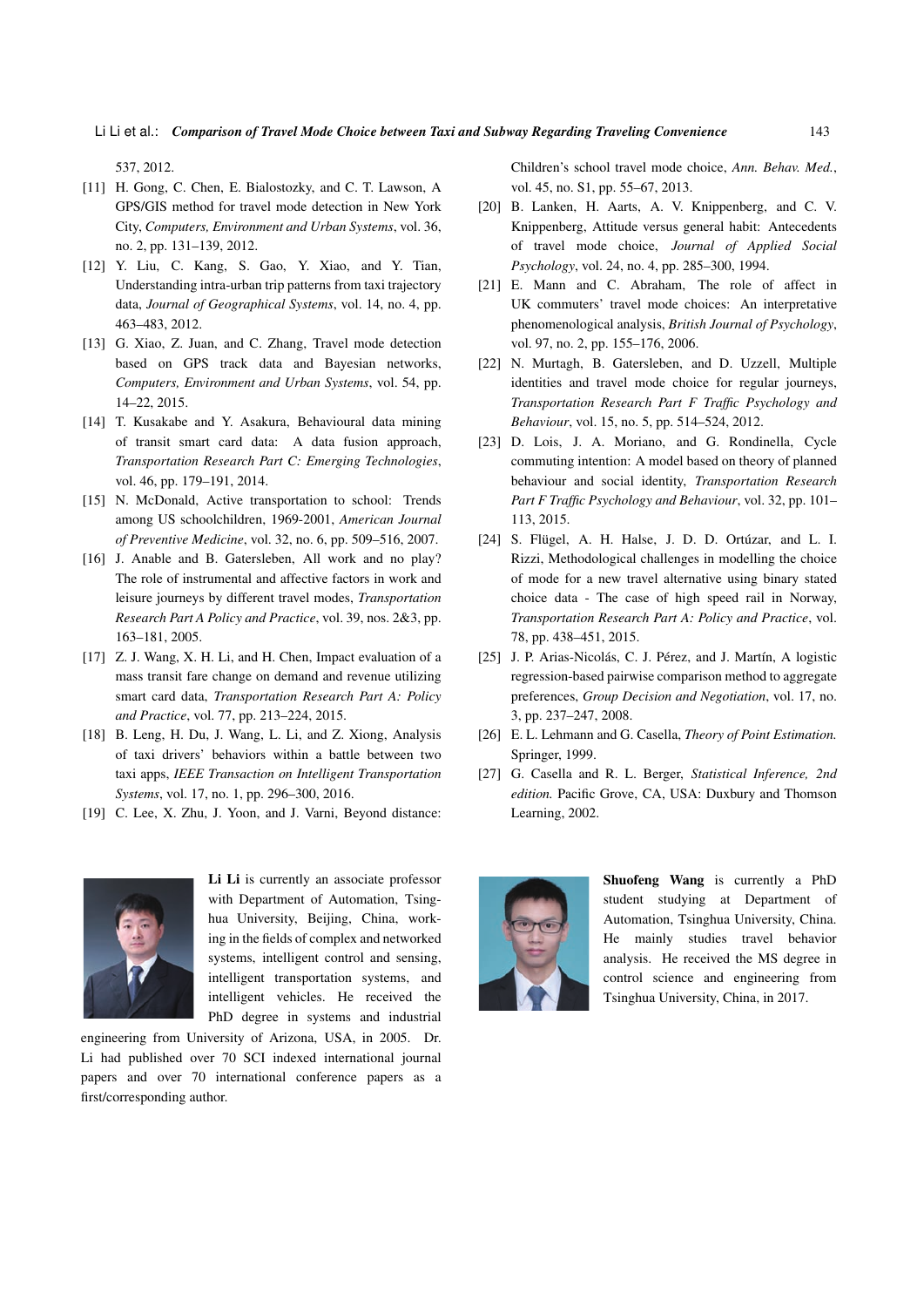537, 2012.

- [11] H. Gong, C. Chen, E. Bialostozky, and C. T. Lawson, A. GPS/GIS method for travel mode detection in New York City, *Computers, Environment and Urban Systems*, vol. 36, no. 2, pp. 131–139, 2012.
- [12] Y. Liu, C. Kang, S. Gao, Y. Xiao, and Y. Tian, Understanding intra-urban trip patterns from taxi trajectory data, *Journal of Geographical Systems*, vol. 14, no. 4, pp. 463–483, 2012.
- [13] G. Xiao, Z. Juan, and C. Zhang, Travel mode detection based on GPS track data and Bayesian networks, *Computers, Environment and Urban Systems*, vol. 54, pp. 14–22, 2015.
- [14] T. Kusakabe and Y. Asakura, Behavioural data mining of transit smart card data: A data fusion approach, *Transportation Research Part C: Emerging Technologies*, vol. 46, pp. 179–191, 2014.
- [15] N. McDonald, Active transportation to school: Trends among US schoolchildren, 1969-2001, *American Journal of Preventive Medicine*, vol. 32, no. 6, pp. 509–516, 2007.
- [16] J. Anable and B. Gatersleben, All work and no play? The role of instrumental and affective factors in work and leisure journeys by different travel modes, *Transportation Research Part A Policy and Practice*, vol. 39, nos. 2&3, pp. 163–181, 2005.
- [17] Z. J. Wang, X. H. Li, and H. Chen, Impact evaluation of a mass transit fare change on demand and revenue utilizing smart card data, *Transportation Research Part A: Policy and Practice*, vol. 77, pp. 213–224, 2015.
- [18] B. Leng, H. Du, J. Wang, L. Li, and Z. Xiong, Analysis of taxi drivers' behaviors within a battle between two taxi apps, *IEEE Transaction on Intelligent Transportation Systems*, vol. 17, no. 1, pp. 296–300, 2016.
- [19] C. Lee, X. Zhu, J. Yoon, and J. Varni, Beyond distance:



Li Li is currently an associate professor with Department of Automation, Tsinghua University, Beijing, China, working in the fields of complex and networked systems, intelligent control and sensing, intelligent transportation systems, and intelligent vehicles. He received the PhD degree in systems and industrial

engineering from University of Arizona, USA, in 2005. Dr. Li had published over 70 SCI indexed international journal papers and over 70 international conference papers as a first/corresponding author.

Children's school travel mode choice, *Ann. Behav. Med.*, vol. 45, no. S1, pp. 55–67, 2013.

- [20] B. Lanken, H. Aarts, A. V. Knippenberg, and C. V. Knippenberg, Attitude versus general habit: Antecedents of travel mode choice, *Journal of Applied Social Psychology*, vol. 24, no. 4, pp. 285–300, 1994.
- [21] E. Mann and C. Abraham, The role of affect in UK commuters' travel mode choices: An interpretative phenomenological analysis, *British Journal of Psychology*, vol. 97, no. 2, pp. 155–176, 2006.
- [22] N. Murtagh, B. Gatersleben, and D. Uzzell, Multiple identities and travel mode choice for regular journeys, *Transportation Research Part F Traffic Psychology and Behaviour*, vol. 15, no. 5, pp. 514–524, 2012.
- [23] D. Lois, J. A. Moriano, and G. Rondinella, Cycle commuting intention: A model based on theory of planned behaviour and social identity, *Transportation Research Part F Traffic Psychology and Behaviour*, vol. 32, pp. 101– 113, 2015.
- [24] S. Flügel, A. H. Halse, J. D. D. Ortúzar, and L. I. Rizzi, Methodological challenges in modelling the choice of mode for a new travel alternative using binary stated choice data - The case of high speed rail in Norway, *Transportation Research Part A: Policy and Practice*, vol. 78, pp. 438–451, 2015.
- [25] J. P. Arias-Nicolás, C. J. Pérez, and J. Martín, A logistic regression-based pairwise comparison method to aggregate preferences, *Group Decision and Negotiation*, vol. 17, no. 3, pp. 237–247, 2008.
- [26] E. L. Lehmann and G. Casella, *Theory of Point Estimation.* Springer, 1999.
- [27] G. Casella and R. L. Berger, *Statistical Inference, 2nd edition.* Pacific Grove, CA, USA: Duxbury and Thomson Learning, 2002.



Shuofeng Wang is currently a PhD student studying at Department of Automation, Tsinghua University, China. He mainly studies travel behavior analysis. He received the MS degree in control science and engineering from Tsinghua University, China, in 2017.